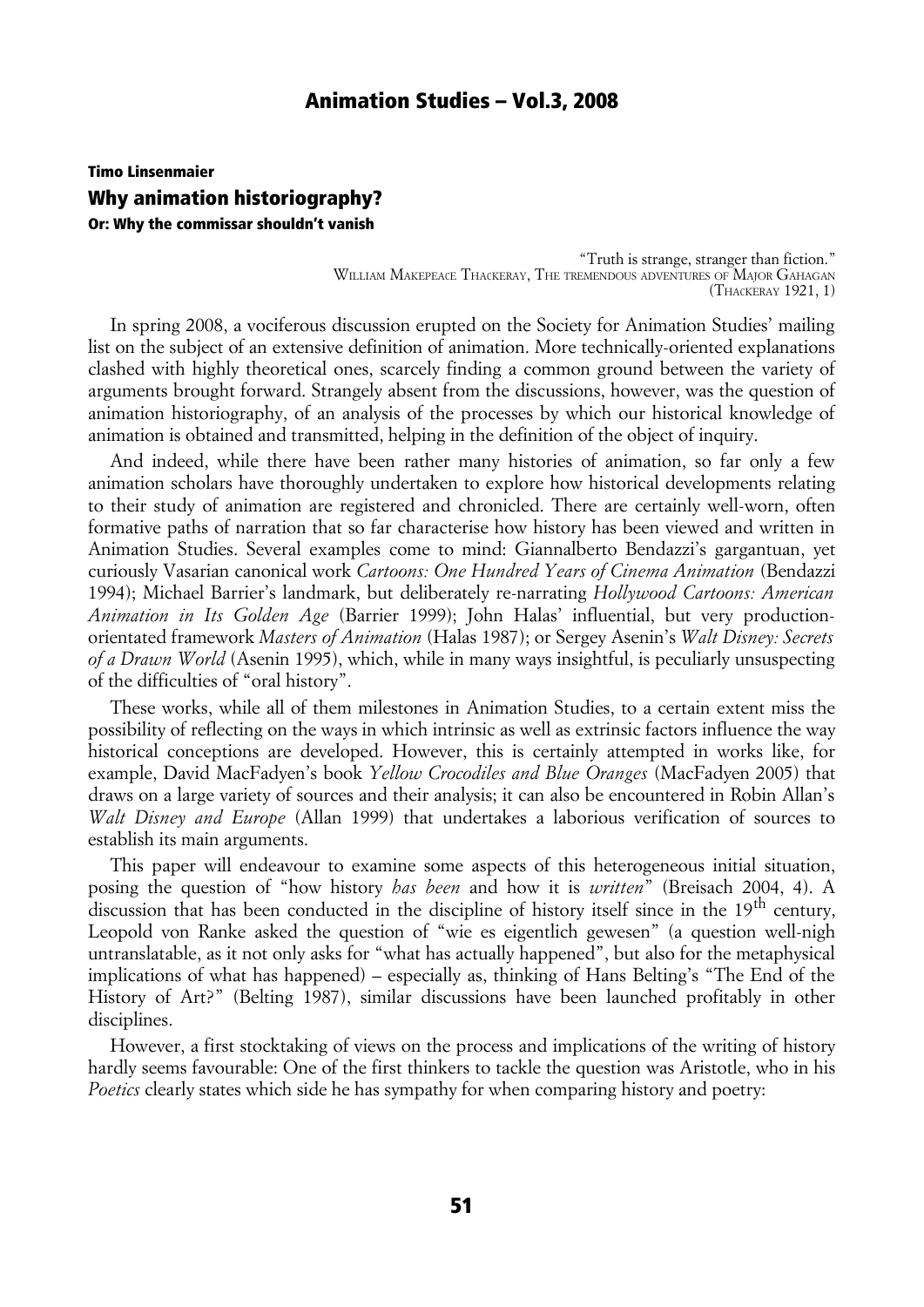# Timo Linsenmaier Why animation historiography? Or: Why the commissar shouldn't vanish

"Truth is strange, stranger than fiction." WILLIAM MAKEPEACE THACKERAY, THE TREMENDOUS ADVENTURES OF MAJOR GAHAGAN (THACKERAY 1921, 1)

In spring 2008, a vociferous discussion erupted on the Society for Animation Studies' mailing list on the subject of an extensive definition of animation. More technically-oriented explanations clashed with highly theoretical ones, scarcely finding a common ground between the variety of arguments brought forward. Strangely absent from the discussions, however, was the question of animation historiography, of an analysis of the processes by which our historical knowledge of animation is obtained and transmitted, helping in the definition of the object of inquiry.

And indeed, while there have been rather many histories of animation, so far only a few animation scholars have thoroughly undertaken to explore how historical developments relating to their study of animation are registered and chronicled. There are certainly well-worn, often formative paths of narration that so far characterise how history has been viewed and written in Animation Studies. Several examples come to mind: Giannalberto Bendazzi's gargantuan, yet curiously Vasarian canonical work *Cartoons: One Hundred Years of Cinema Animation* (Bendazzi 1994); Michael Barrier's landmark, but deliberately re-narrating *Hollywood Cartoons: American Animation in Its Golden Age* (Barrier 1999); John Halas' influential, but very productionorientated framework *Masters of Animation* (Halas 1987); or Sergey Asenin's *Walt Disney: Secrets of a Drawn World* (Asenin 1995), which, while in many ways insightful, is peculiarly unsuspecting of the difficulties of "oral history".

These works, while all of them milestones in Animation Studies, to a certain extent miss the possibility of reflecting on the ways in which intrinsic as well as extrinsic factors influence the way historical conceptions are developed. However, this is certainly attempted in works like, for example, David MacFadyen's book *Yellow Crocodiles and Blue Oranges* (MacFadyen 2005) that draws on a large variety of sources and their analysis; it can also be encountered in Robin Allan's *Walt Disney and Europe* (Allan 1999) that undertakes a laborious verification of sources to establish its main arguments.

This paper will endeavour to examine some aspects of this heterogeneous initial situation, posing the question of "how history *has been* and how it is *written*" (Breisach 2004, 4). A discussion that has been conducted in the discipline of history itself since in the 19<sup>th</sup> century, Leopold von Ranke asked the question of "wie es eigentlich gewesen" (a question well-nigh untranslatable, as it not only asks for "what has actually happened", but also for the metaphysical implications of what has happened) – especially as, thinking of Hans Belting's "The End of the History of Art?" (Belting 1987), similar discussions have been launched profitably in other disciplines.

However, a first stocktaking of views on the process and implications of the writing of history hardly seems favourable: One of the first thinkers to tackle the question was Aristotle, who in his *Poetics* clearly states which side he has sympathy for when comparing history and poetry: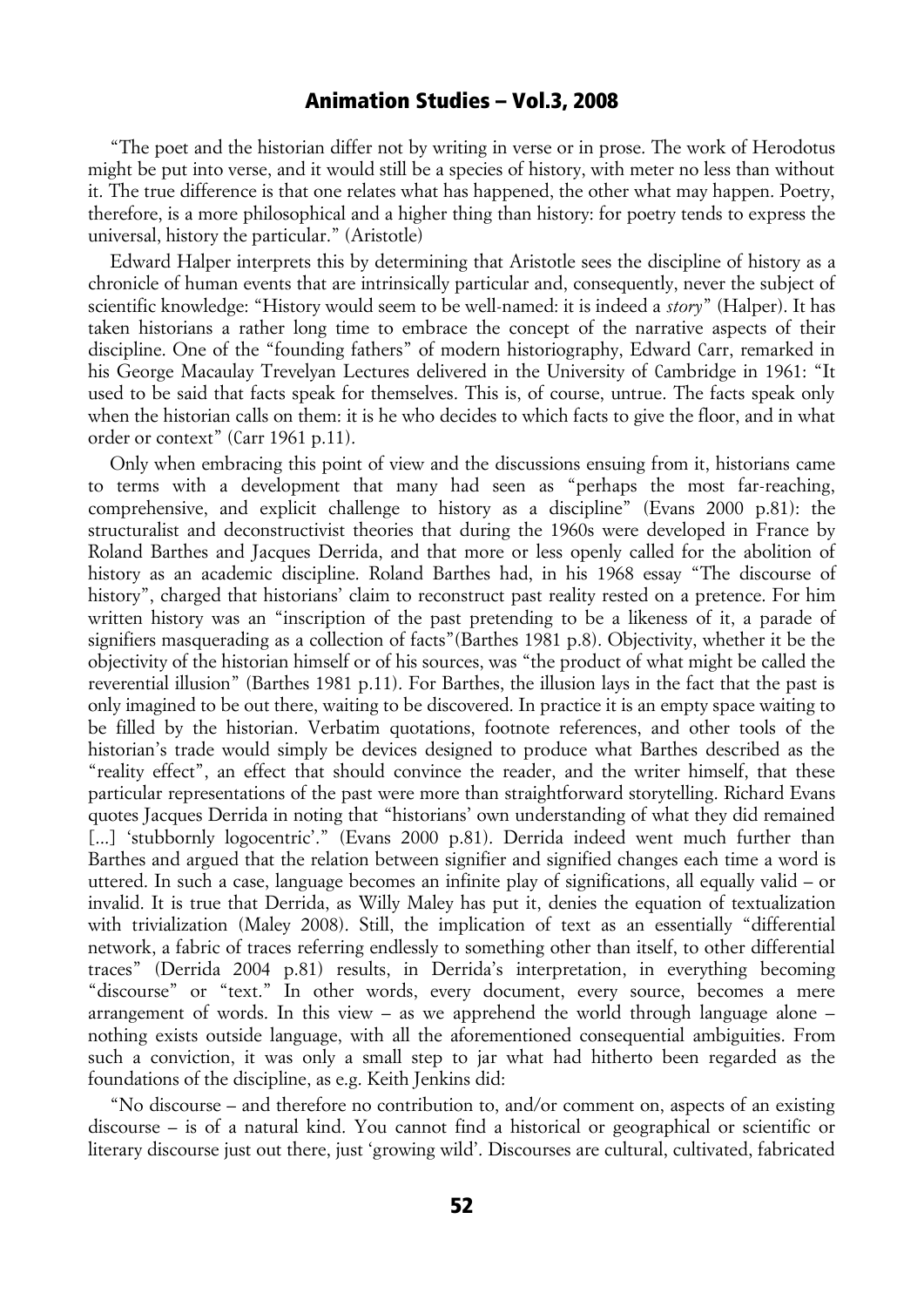"The poet and the historian differ not by writing in verse or in prose. The work of Herodotus might be put into verse, and it would still be a species of history, with meter no less than without it. The true difference is that one relates what has happened, the other what may happen. Poetry, therefore, is a more philosophical and a higher thing than history: for poetry tends to express the universal, history the particular." (Aristotle)

Edward Halper interprets this by determining that Aristotle sees the discipline of history as a chronicle of human events that are intrinsically particular and, consequently, never the subject of scientific knowledge: "History would seem to be well-named: it is indeed a *story*" (Halper). It has taken historians a rather long time to embrace the concept of the narrative aspects of their discipline. One of the "founding fathers" of modern historiography, Edward Carr, remarked in his George Macaulay Trevelyan Lectures delivered in the University of Cambridge in 1961: "It used to be said that facts speak for themselves. This is, of course, untrue. The facts speak only when the historian calls on them: it is he who decides to which facts to give the floor, and in what order or context" (Carr 1961 p.11).

Only when embracing this point of view and the discussions ensuing from it, historians came to terms with a development that many had seen as "perhaps the most far-reaching, comprehensive, and explicit challenge to history as a discipline" (Evans 2000 p.81): the structuralist and deconstructivist theories that during the 1960s were developed in France by Roland Barthes and Jacques Derrida, and that more or less openly called for the abolition of history as an academic discipline. Roland Barthes had, in his 1968 essay "The discourse of history", charged that historians' claim to reconstruct past reality rested on a pretence. For him written history was an "inscription of the past pretending to be a likeness of it, a parade of signifiers masquerading as a collection of facts"(Barthes 1981 p.8). Objectivity, whether it be the objectivity of the historian himself or of his sources, was "the product of what might be called the reverential illusion" (Barthes 1981 p.11). For Barthes, the illusion lays in the fact that the past is only imagined to be out there, waiting to be discovered. In practice it is an empty space waiting to be filled by the historian. Verbatim quotations, footnote references, and other tools of the historian's trade would simply be devices designed to produce what Barthes described as the "reality effect", an effect that should convince the reader, and the writer himself, that these particular representations of the past were more than straightforward storytelling. Richard Evans quotes Jacques Derrida in noting that "historians' own understanding of what they did remained [...] 'stubbornly logocentric'." (Evans 2000 p.81). Derrida indeed went much further than Barthes and argued that the relation between signifier and signified changes each time a word is uttered. In such a case, language becomes an infinite play of significations, all equally valid – or invalid. It is true that Derrida, as Willy Maley has put it, denies the equation of textualization with trivialization (Maley 2008). Still, the implication of text as an essentially "differential network, a fabric of traces referring endlessly to something other than itself, to other differential traces" (Derrida 2004 p.81) results, in Derrida's interpretation, in everything becoming "discourse" or "text." In other words, every document, every source, becomes a mere arrangement of words. In this view – as we apprehend the world through language alone – nothing exists outside language, with all the aforementioned consequential ambiguities. From such a conviction, it was only a small step to jar what had hitherto been regarded as the foundations of the discipline, as e.g. Keith Jenkins did:

"No discourse – and therefore no contribution to, and/or comment on, aspects of an existing discourse – is of a natural kind. You cannot find a historical or geographical or scientific or literary discourse just out there, just 'growing wild'. Discourses are cultural, cultivated, fabricated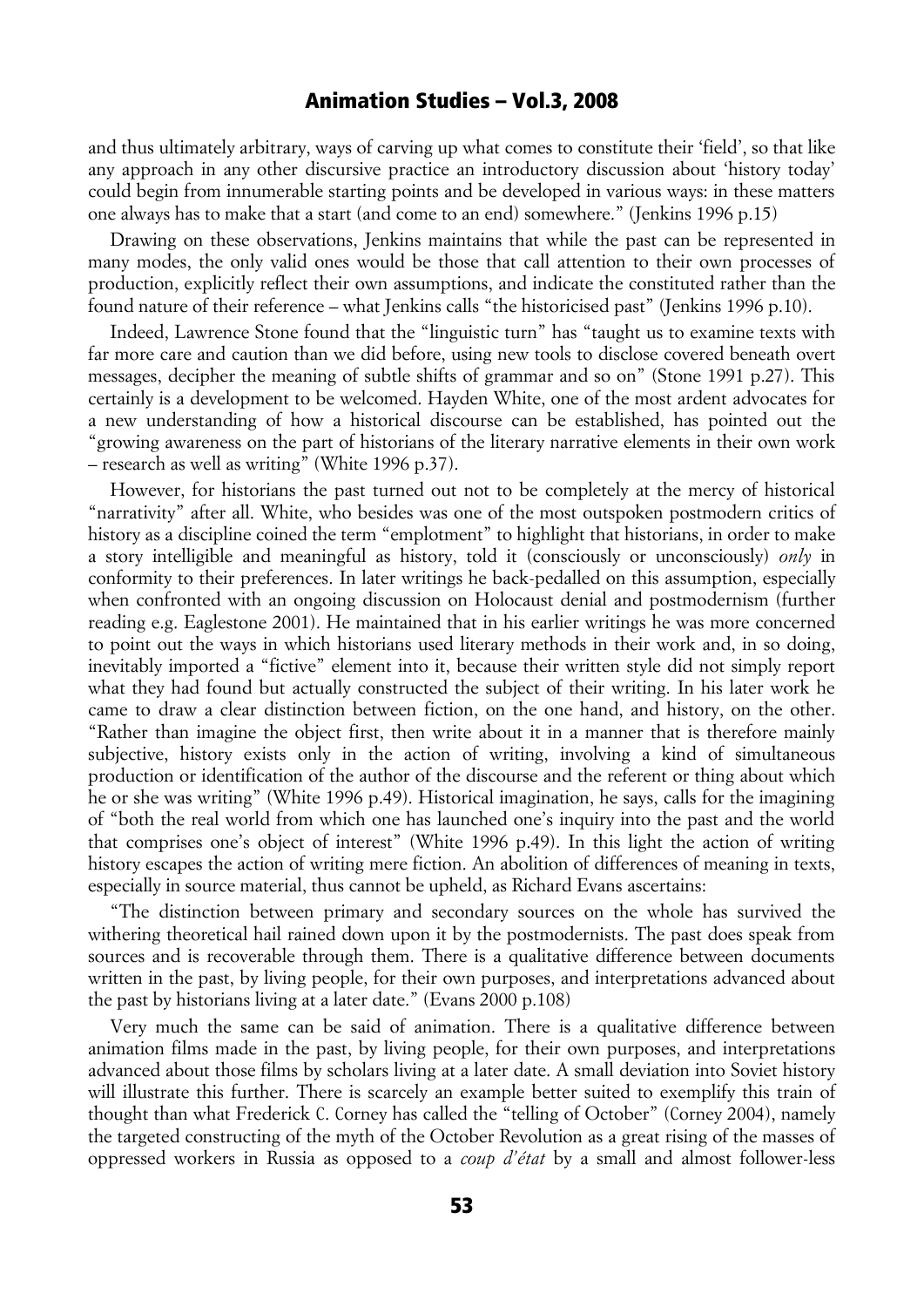and thus ultimately arbitrary, ways of carving up what comes to constitute their 'field', so that like any approach in any other discursive practice an introductory discussion about 'history today' could begin from innumerable starting points and be developed in various ways: in these matters one always has to make that a start (and come to an end) somewhere." (Jenkins 1996 p.15)

Drawing on these observations, Jenkins maintains that while the past can be represented in many modes, the only valid ones would be those that call attention to their own processes of production, explicitly reflect their own assumptions, and indicate the constituted rather than the found nature of their reference – what Jenkins calls "the historicised past" (Jenkins 1996 p.10).

Indeed, Lawrence Stone found that the "linguistic turn" has "taught us to examine texts with far more care and caution than we did before, using new tools to disclose covered beneath overt messages, decipher the meaning of subtle shifts of grammar and so on" (Stone 1991 p.27). This certainly is a development to be welcomed. Hayden White, one of the most ardent advocates for a new understanding of how a historical discourse can be established, has pointed out the "growing awareness on the part of historians of the literary narrative elements in their own work – research as well as writing" (White 1996 p.37).

However, for historians the past turned out not to be completely at the mercy of historical "narrativity" after all. White, who besides was one of the most outspoken postmodern critics of history as a discipline coined the term "emplotment" to highlight that historians, in order to make a story intelligible and meaningful as history, told it (consciously or unconsciously) *only* in conformity to their preferences. In later writings he back-pedalled on this assumption, especially when confronted with an ongoing discussion on Holocaust denial and postmodernism (further reading e.g. Eaglestone 2001). He maintained that in his earlier writings he was more concerned to point out the ways in which historians used literary methods in their work and, in so doing, inevitably imported a "fictive" element into it, because their written style did not simply report what they had found but actually constructed the subject of their writing. In his later work he came to draw a clear distinction between fiction, on the one hand, and history, on the other. "Rather than imagine the object first, then write about it in a manner that is therefore mainly subjective, history exists only in the action of writing, involving a kind of simultaneous production or identification of the author of the discourse and the referent or thing about which he or she was writing" (White 1996 p.49). Historical imagination, he says, calls for the imagining of "both the real world from which one has launched one's inquiry into the past and the world that comprises one's object of interest" (White 1996 p.49). In this light the action of writing history escapes the action of writing mere fiction. An abolition of differences of meaning in texts, especially in source material, thus cannot be upheld, as Richard Evans ascertains:

"The distinction between primary and secondary sources on the whole has survived the withering theoretical hail rained down upon it by the postmodernists. The past does speak from sources and is recoverable through them. There is a qualitative difference between documents written in the past, by living people, for their own purposes, and interpretations advanced about the past by historians living at a later date." (Evans 2000 p.108)

Very much the same can be said of animation. There is a qualitative difference between animation films made in the past, by living people, for their own purposes, and interpretations advanced about those films by scholars living at a later date. A small deviation into Soviet history will illustrate this further. There is scarcely an example better suited to exemplify this train of thought than what Frederick C. Corney has called the "telling of October" (Corney 2004), namely the targeted constructing of the myth of the October Revolution as a great rising of the masses of oppressed workers in Russia as opposed to a *coup d'état* by a small and almost follower-less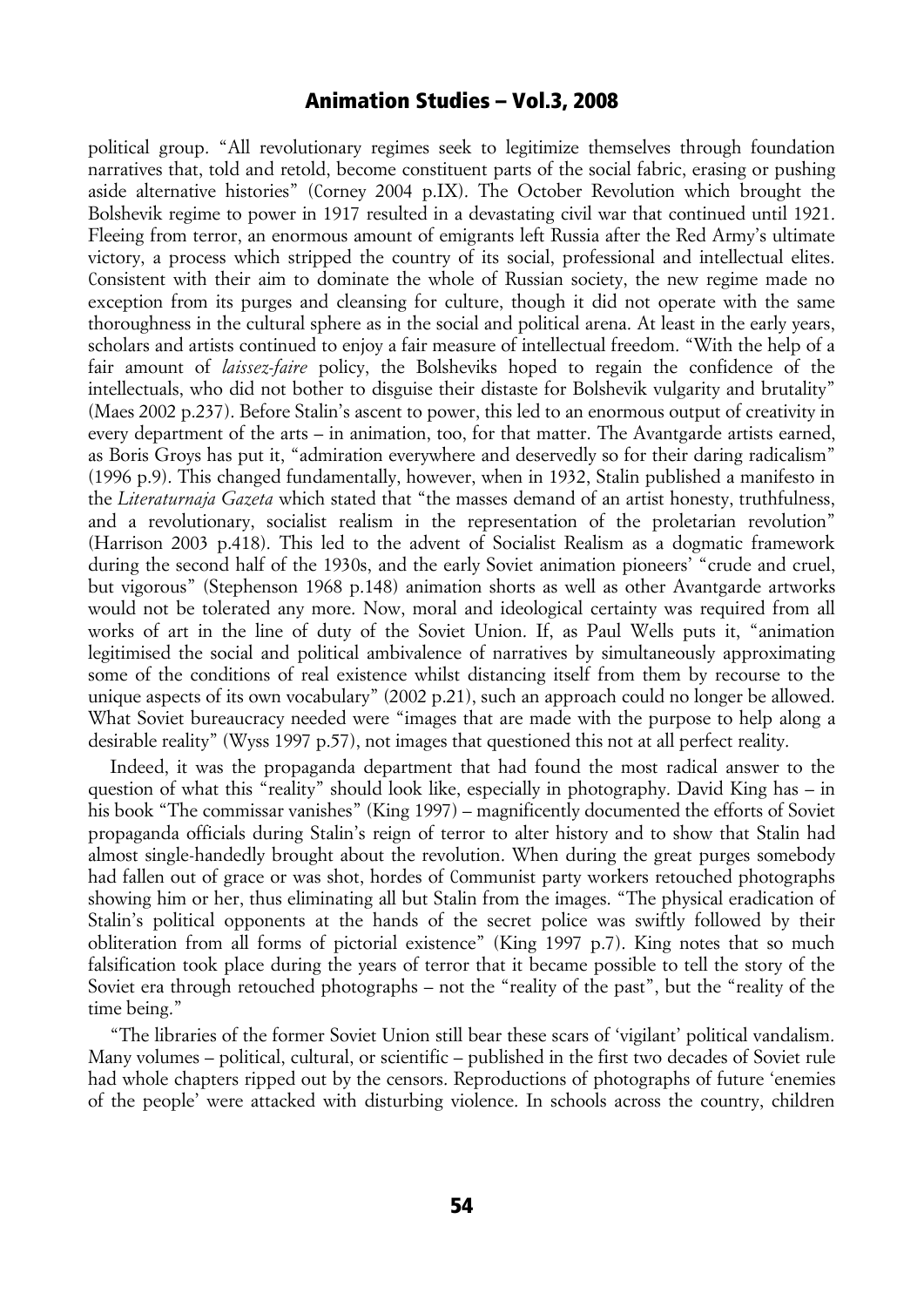political group. "All revolutionary regimes seek to legitimize themselves through foundation narratives that, told and retold, become constituent parts of the social fabric, erasing or pushing aside alternative histories" (Corney 2004 p.IX). The October Revolution which brought the Bolshevik regime to power in 1917 resulted in a devastating civil war that continued until 1921. Fleeing from terror, an enormous amount of emigrants left Russia after the Red Army's ultimate victory, a process which stripped the country of its social, professional and intellectual elites. Consistent with their aim to dominate the whole of Russian society, the new regime made no exception from its purges and cleansing for culture, though it did not operate with the same thoroughness in the cultural sphere as in the social and political arena. At least in the early years, scholars and artists continued to enjoy a fair measure of intellectual freedom. "With the help of a fair amount of *laissez-faire* policy, the Bolsheviks hoped to regain the confidence of the intellectuals, who did not bother to disguise their distaste for Bolshevik vulgarity and brutality" (Maes 2002 p.237). Before Stalin's ascent to power, this led to an enormous output of creativity in every department of the arts – in animation, too, for that matter. The Avantgarde artists earned, as Boris Groys has put it, "admiration everywhere and deservedly so for their daring radicalism" (1996 p.9). This changed fundamentally, however, when in 1932, Stalin published a manifesto in the *Literaturnaja Gazeta* which stated that "the masses demand of an artist honesty, truthfulness, and a revolutionary, socialist realism in the representation of the proletarian revolution" (Harrison 2003 p.418). This led to the advent of Socialist Realism as a dogmatic framework during the second half of the 1930s, and the early Soviet animation pioneers' "crude and cruel, but vigorous" (Stephenson 1968 p.148) animation shorts as well as other Avantgarde artworks would not be tolerated any more. Now, moral and ideological certainty was required from all works of art in the line of duty of the Soviet Union. If, as Paul Wells puts it, "animation legitimised the social and political ambivalence of narratives by simultaneously approximating some of the conditions of real existence whilst distancing itself from them by recourse to the unique aspects of its own vocabulary" (2002 p.21), such an approach could no longer be allowed. What Soviet bureaucracy needed were "images that are made with the purpose to help along a desirable reality" (Wyss 1997 p.57), not images that questioned this not at all perfect reality.

Indeed, it was the propaganda department that had found the most radical answer to the question of what this "reality" should look like, especially in photography. David King has – in his book "The commissar vanishes" (King 1997) – magnificently documented the efforts of Soviet propaganda officials during Stalin's reign of terror to alter history and to show that Stalin had almost single-handedly brought about the revolution. When during the great purges somebody had fallen out of grace or was shot, hordes of Communist party workers retouched photographs showing him or her, thus eliminating all but Stalin from the images. "The physical eradication of Stalin's political opponents at the hands of the secret police was swiftly followed by their obliteration from all forms of pictorial existence" (King 1997 p.7). King notes that so much falsification took place during the years of terror that it became possible to tell the story of the Soviet era through retouched photographs – not the "reality of the past", but the "reality of the time being."

"The libraries of the former Soviet Union still bear these scars of 'vigilant' political vandalism. Many volumes – political, cultural, or scientific – published in the first two decades of Soviet rule had whole chapters ripped out by the censors. Reproductions of photographs of future 'enemies of the people' were attacked with disturbing violence. In schools across the country, children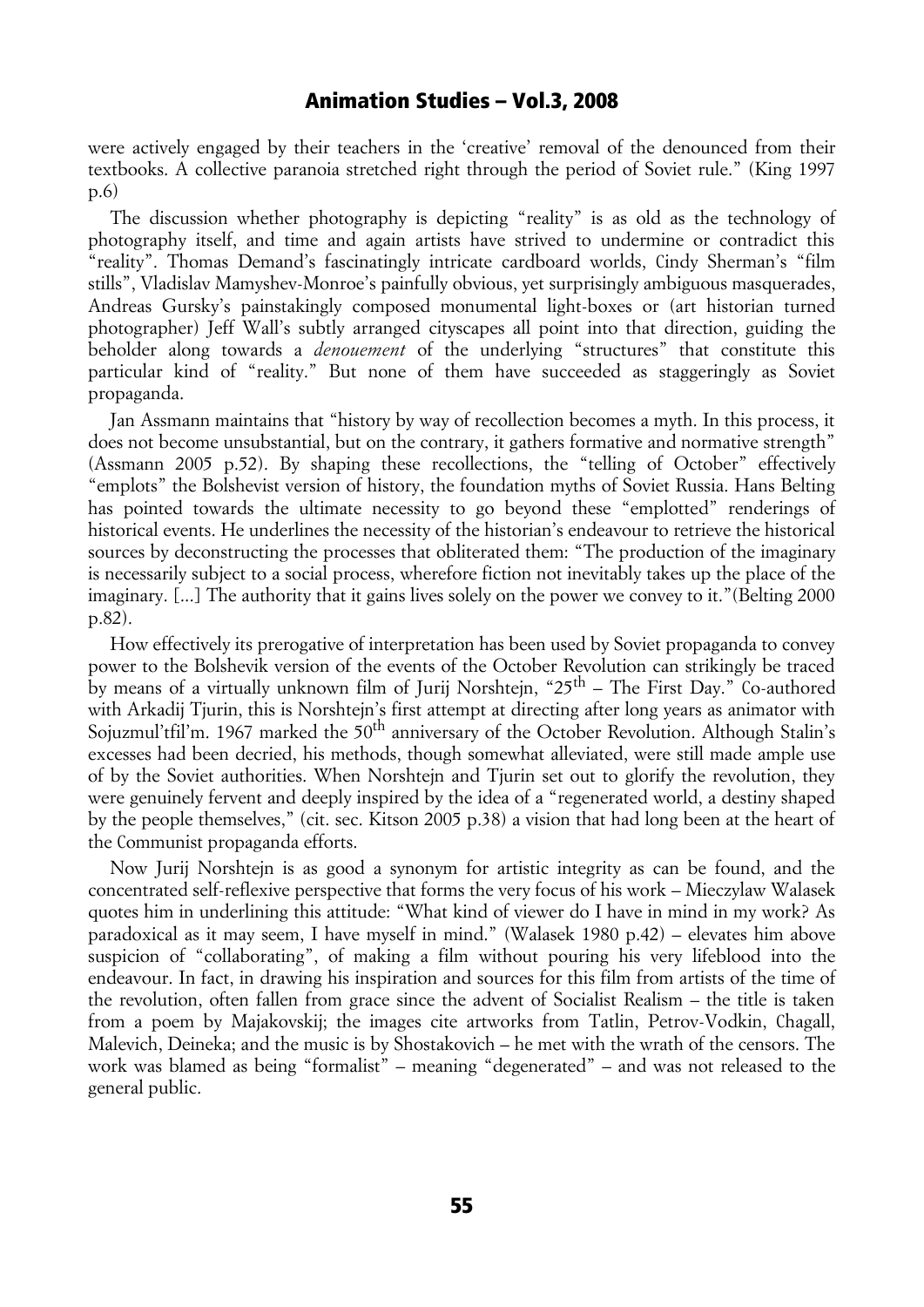were actively engaged by their teachers in the 'creative' removal of the denounced from their textbooks. A collective paranoia stretched right through the period of Soviet rule." (King 1997 p.6)

The discussion whether photography is depicting "reality" is as old as the technology of photography itself, and time and again artists have strived to undermine or contradict this "reality". Thomas Demand's fascinatingly intricate cardboard worlds, Cindy Sherman's "film stills", Vladislav Mamyshev-Monroe's painfully obvious, yet surprisingly ambiguous masquerades, Andreas Gursky's painstakingly composed monumental light-boxes or (art historian turned photographer) Jeff Wall's subtly arranged cityscapes all point into that direction, guiding the beholder along towards a *denouement* of the underlying "structures" that constitute this particular kind of "reality." But none of them have succeeded as staggeringly as Soviet propaganda.

Jan Assmann maintains that "history by way of recollection becomes a myth. In this process, it does not become unsubstantial, but on the contrary, it gathers formative and normative strength" (Assmann 2005 p.52). By shaping these recollections, the "telling of October" effectively "emplots" the Bolshevist version of history, the foundation myths of Soviet Russia. Hans Belting has pointed towards the ultimate necessity to go beyond these "emplotted" renderings of historical events. He underlines the necessity of the historian's endeavour to retrieve the historical sources by deconstructing the processes that obliterated them: "The production of the imaginary is necessarily subject to a social process, wherefore fiction not inevitably takes up the place of the imaginary. [...] The authority that it gains lives solely on the power we convey to it."(Belting 2000 p.82).

How effectively its prerogative of interpretation has been used by Soviet propaganda to convey power to the Bolshevik version of the events of the October Revolution can strikingly be traced by means of a virtually unknown film of Jurij Norshtejn, " $25<sup>th</sup>$  – The First Day." Co-authored with Arkadij Tjurin, this is Norshtejn's first attempt at directing after long years as animator with Sojuzmul'tfil'm. 1967 marked the 50<sup>th</sup> anniversary of the October Revolution. Although Stalin's excesses had been decried, his methods, though somewhat alleviated, were still made ample use of by the Soviet authorities. When Norshtejn and Tjurin set out to glorify the revolution, they were genuinely fervent and deeply inspired by the idea of a "regenerated world, a destiny shaped by the people themselves," (cit. sec. Kitson 2005 p.38) a vision that had long been at the heart of the Communist propaganda efforts.

Now Jurij Norshtejn is as good a synonym for artistic integrity as can be found, and the concentrated self-reflexive perspective that forms the very focus of his work – Mieczylaw Walasek quotes him in underlining this attitude: "What kind of viewer do I have in mind in my work? As paradoxical as it may seem, I have myself in mind." (Walasek 1980 p.42) – elevates him above suspicion of "collaborating", of making a film without pouring his very lifeblood into the endeavour. In fact, in drawing his inspiration and sources for this film from artists of the time of the revolution, often fallen from grace since the advent of Socialist Realism – the title is taken from a poem by Majakovskij; the images cite artworks from Tatlin, Petrov-Vodkin, Chagall, Malevich, Deineka; and the music is by Shostakovich – he met with the wrath of the censors. The work was blamed as being "formalist" – meaning "degenerated" – and was not released to the general public.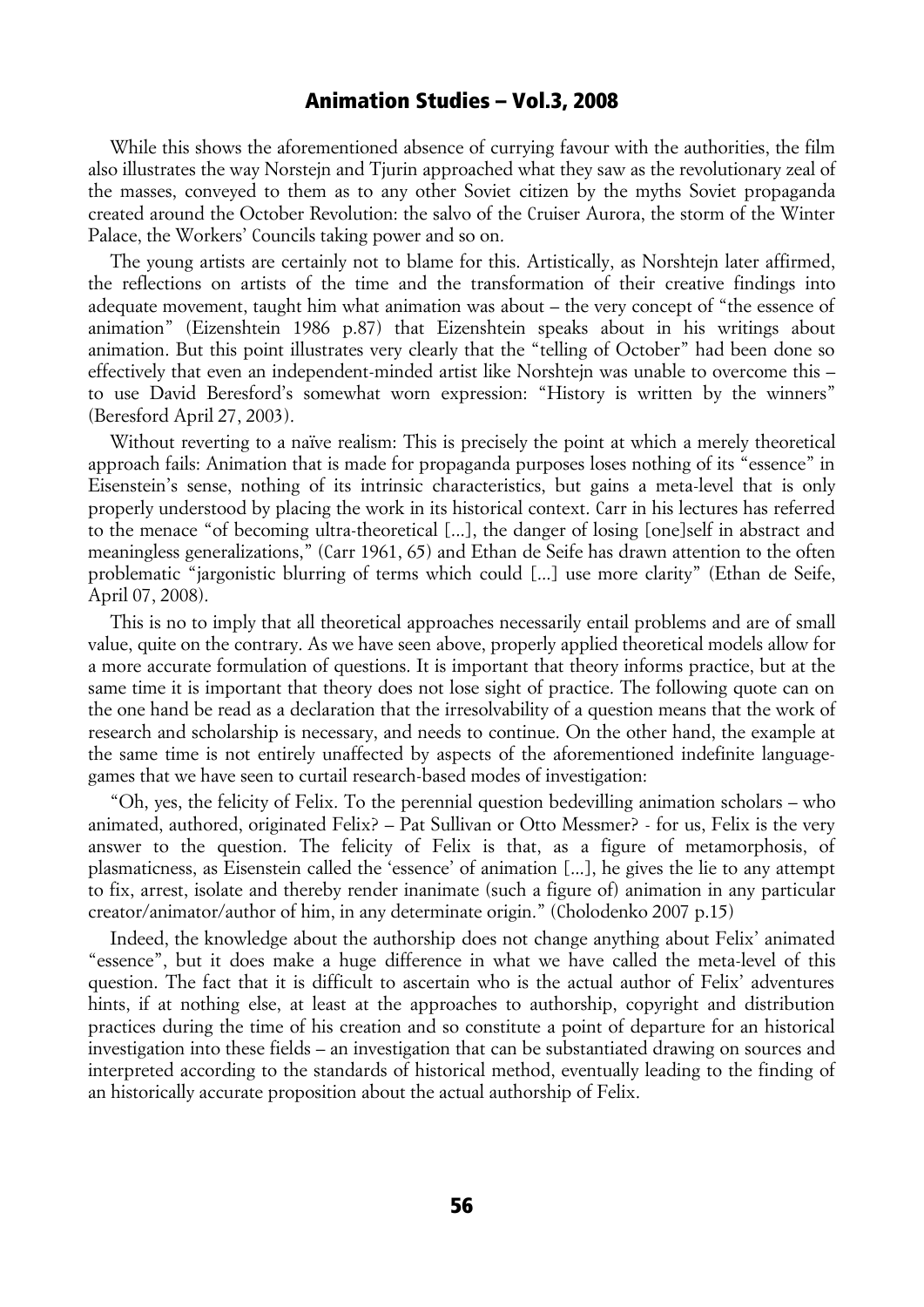While this shows the aforementioned absence of currying favour with the authorities, the film also illustrates the way Norstejn and Tjurin approached what they saw as the revolutionary zeal of the masses, conveyed to them as to any other Soviet citizen by the myths Soviet propaganda created around the October Revolution: the salvo of the Cruiser Aurora, the storm of the Winter Palace, the Workers' Councils taking power and so on.

The young artists are certainly not to blame for this. Artistically, as Norshtejn later affirmed, the reflections on artists of the time and the transformation of their creative findings into adequate movement, taught him what animation was about – the very concept of "the essence of animation" (Eizenshtein 1986 p.87) that Eizenshtein speaks about in his writings about animation. But this point illustrates very clearly that the "telling of October" had been done so effectively that even an independent-minded artist like Norshtejn was unable to overcome this – to use David Beresford's somewhat worn expression: "History is written by the winners" (Beresford April 27, 2003).

Without reverting to a naïve realism: This is precisely the point at which a merely theoretical approach fails: Animation that is made for propaganda purposes loses nothing of its "essence" in Eisenstein's sense, nothing of its intrinsic characteristics, but gains a meta-level that is only properly understood by placing the work in its historical context. Carr in his lectures has referred to the menace "of becoming ultra-theoretical [...], the danger of losing [one]self in abstract and meaningless generalizations," (Carr 1961, 65) and Ethan de Seife has drawn attention to the often problematic "jargonistic blurring of terms which could [...] use more clarity" (Ethan de Seife, April 07, 2008).

This is no to imply that all theoretical approaches necessarily entail problems and are of small value, quite on the contrary. As we have seen above, properly applied theoretical models allow for a more accurate formulation of questions. It is important that theory informs practice, but at the same time it is important that theory does not lose sight of practice. The following quote can on the one hand be read as a declaration that the irresolvability of a question means that the work of research and scholarship is necessary, and needs to continue. On the other hand, the example at the same time is not entirely unaffected by aspects of the aforementioned indefinite languagegames that we have seen to curtail research-based modes of investigation:

"Oh, yes, the felicity of Felix. To the perennial question bedevilling animation scholars – who animated, authored, originated Felix? – Pat Sullivan or Otto Messmer? - for us, Felix is the very answer to the question. The felicity of Felix is that, as a figure of metamorphosis, of plasmaticness, as Eisenstein called the 'essence' of animation [...], he gives the lie to any attempt to fix, arrest, isolate and thereby render inanimate (such a figure of) animation in any particular creator/animator/author of him, in any determinate origin." (Cholodenko 2007 p.15)

Indeed, the knowledge about the authorship does not change anything about Felix' animated "essence", but it does make a huge difference in what we have called the meta-level of this question. The fact that it is difficult to ascertain who is the actual author of Felix' adventures hints, if at nothing else, at least at the approaches to authorship, copyright and distribution practices during the time of his creation and so constitute a point of departure for an historical investigation into these fields – an investigation that can be substantiated drawing on sources and interpreted according to the standards of historical method, eventually leading to the finding of an historically accurate proposition about the actual authorship of Felix.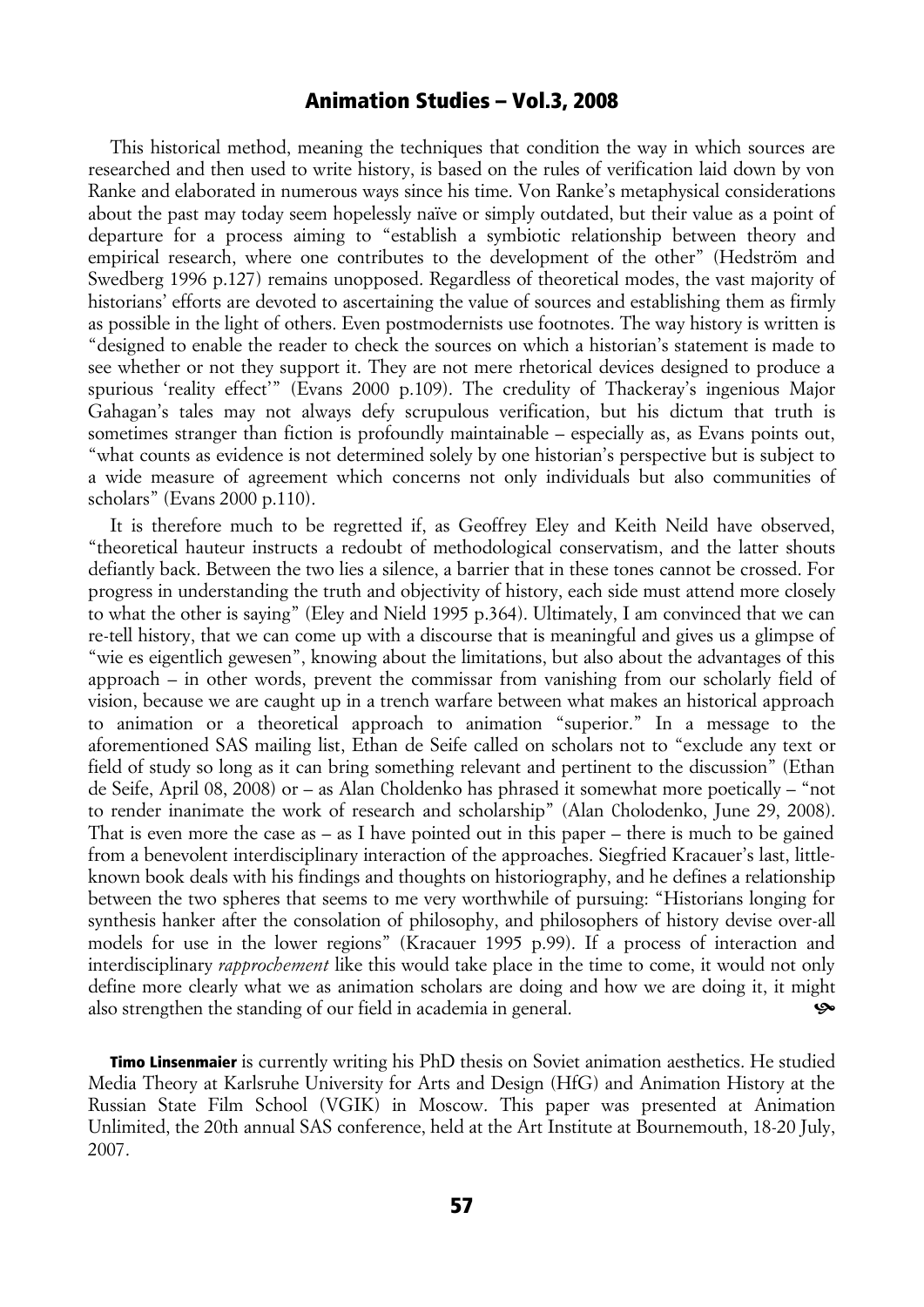This historical method, meaning the techniques that condition the way in which sources are researched and then used to write history, is based on the rules of verification laid down by von Ranke and elaborated in numerous ways since his time. Von Ranke's metaphysical considerations about the past may today seem hopelessly naïve or simply outdated, but their value as a point of departure for a process aiming to "establish a symbiotic relationship between theory and empirical research, where one contributes to the development of the other" (Hedström and Swedberg 1996 p.127) remains unopposed. Regardless of theoretical modes, the vast majority of historians' efforts are devoted to ascertaining the value of sources and establishing them as firmly as possible in the light of others. Even postmodernists use footnotes. The way history is written is "designed to enable the reader to check the sources on which a historian's statement is made to see whether or not they support it. They are not mere rhetorical devices designed to produce a spurious 'reality effect'" (Evans 2000 p.109). The credulity of Thackeray's ingenious Major Gahagan's tales may not always defy scrupulous verification, but his dictum that truth is sometimes stranger than fiction is profoundly maintainable – especially as, as Evans points out, "what counts as evidence is not determined solely by one historian's perspective but is subject to a wide measure of agreement which concerns not only individuals but also communities of scholars" (Evans 2000 p.110).

It is therefore much to be regretted if, as Geoffrey Eley and Keith Neild have observed, "theoretical hauteur instructs a redoubt of methodological conservatism, and the latter shouts defiantly back. Between the two lies a silence, a barrier that in these tones cannot be crossed. For progress in understanding the truth and objectivity of history, each side must attend more closely to what the other is saying" (Eley and Nield 1995 p.364). Ultimately, I am convinced that we can re-tell history, that we can come up with a discourse that is meaningful and gives us a glimpse of "wie es eigentlich gewesen", knowing about the limitations, but also about the advantages of this approach – in other words, prevent the commissar from vanishing from our scholarly field of vision, because we are caught up in a trench warfare between what makes an historical approach to animation or a theoretical approach to animation "superior." In a message to the aforementioned SAS mailing list, Ethan de Seife called on scholars not to "exclude any text or field of study so long as it can bring something relevant and pertinent to the discussion" (Ethan de Seife, April 08, 2008) or – as Alan Choldenko has phrased it somewhat more poetically – "not to render inanimate the work of research and scholarship" (Alan Cholodenko, June 29, 2008). That is even more the case as – as I have pointed out in this paper – there is much to be gained from a benevolent interdisciplinary interaction of the approaches. Siegfried Kracauer's last, littleknown book deals with his findings and thoughts on historiography, and he defines a relationship between the two spheres that seems to me very worthwhile of pursuing: "Historians longing for synthesis hanker after the consolation of philosophy, and philosophers of history devise over-all models for use in the lower regions" (Kracauer 1995 p.99). If a process of interaction and interdisciplinary *rapprochement* like this would take place in the time to come, it would not only define more clearly what we as animation scholars are doing and how we are doing it, it might also strengthen the standing of our field in academia in general. ^

Timo Linsenmaier is currently writing his PhD thesis on Soviet animation aesthetics. He studied Media Theory at Karlsruhe University for Arts and Design (HfG) and Animation History at the Russian State Film School (VGIK) in Moscow. This paper was presented at Animation Unlimited, the 20th annual SAS conference, held at the Art Institute at Bournemouth, 18-20 July, 2007.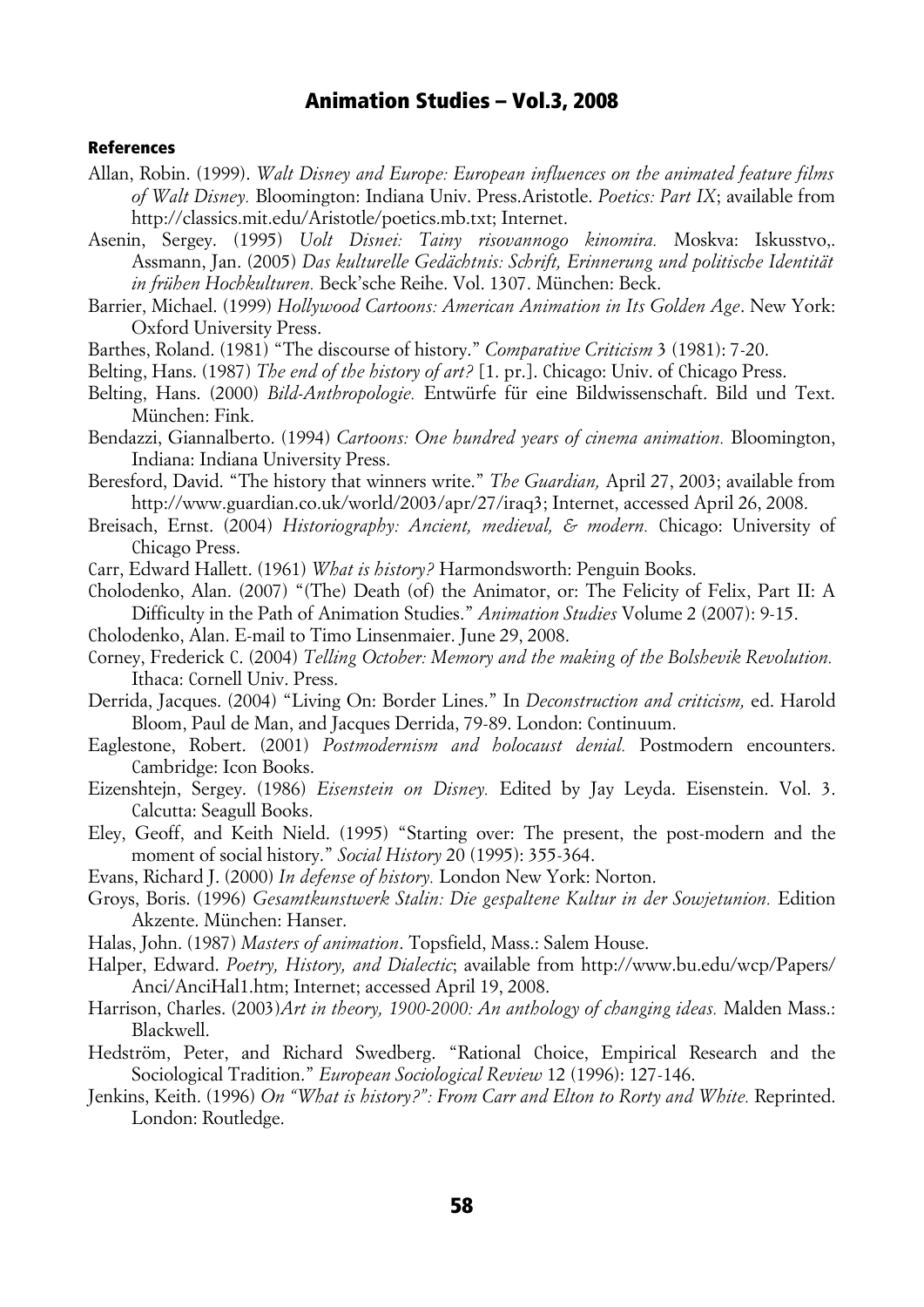#### References

- Allan, Robin. (1999). *Walt Disney and Europe: European influences on the animated feature films of Walt Disney.* Bloomington: Indiana Univ. Press.Aristotle. *Poetics: Part IX*; available from http://classics.mit.edu/Aristotle/poetics.mb.txt; Internet.
- Asenin, Sergey. (1995) *Uolt Disnei: Tainy risovannogo kinomira.* Moskva: Iskusstvo,. Assmann, Jan. (2005) *Das kulturelle Gedächtnis: Schrift, Erinnerung und politische Identität in frühen Hochkulturen.* Beck'sche Reihe. Vol. 1307. München: Beck.
- Barrier, Michael. (1999) *Hollywood Cartoons: American Animation in Its Golden Age*. New York: Oxford University Press.
- Barthes, Roland. (1981) "The discourse of history." *Comparative Criticism* 3 (1981): 7-20.
- Belting, Hans. (1987) *The end of the history of art?* [1. pr.]. Chicago: Univ. of Chicago Press.
- Belting, Hans. (2000) *Bild-Anthropologie.* Entwürfe für eine Bildwissenschaft. Bild und Text. München: Fink.
- Bendazzi, Giannalberto. (1994) *Cartoons: One hundred years of cinema animation.* Bloomington, Indiana: Indiana University Press.
- Beresford, David. "The history that winners write." *The Guardian,* April 27, 2003; available from http://www.guardian.co.uk/world/2003/apr/27/iraq3; Internet, accessed April 26, 2008.
- Breisach, Ernst. (2004) *Historiography: Ancient, medieval, & modern.* Chicago: University of Chicago Press.

Carr, Edward Hallett. (1961) *What is history?* Harmondsworth: Penguin Books.

- Cholodenko, Alan. (2007) "(The) Death (of) the Animator, or: The Felicity of Felix, Part II: A Difficulty in the Path of Animation Studies." *Animation Studies* Volume 2 (2007): 9-15.
- Cholodenko, Alan. E-mail to Timo Linsenmaier. June 29, 2008.
- Corney, Frederick C. (2004) *Telling October: Memory and the making of the Bolshevik Revolution.* Ithaca: Cornell Univ. Press.
- Derrida, Jacques. (2004) "Living On: Border Lines." In *Deconstruction and criticism,* ed. Harold Bloom, Paul de Man, and Jacques Derrida, 79-89. London: Continuum.
- Eaglestone, Robert. (2001) *Postmodernism and holocaust denial.* Postmodern encounters. Cambridge: Icon Books.
- Eizenshtejn, Sergey. (1986) *Eisenstein on Disney.* Edited by Jay Leyda. Eisenstein. Vol. 3. Calcutta: Seagull Books.
- Eley, Geoff, and Keith Nield. (1995) "Starting over: The present, the post-modern and the moment of social history." *Social History* 20 (1995): 355-364.
- Evans, Richard J. (2000) *In defense of history.* London New York: Norton.
- Groys, Boris. (1996) *Gesamtkunstwerk Stalin: Die gespaltene Kultur in der Sowjetunion.* Edition Akzente. München: Hanser.
- Halas, John. (1987) *Masters of animation*. Topsfield, Mass.: Salem House.
- Halper, Edward. *Poetry, History, and Dialectic*; available from http://www.bu.edu/wcp/Papers/ Anci/AnciHal1.htm; Internet; accessed April 19, 2008.
- Harrison, Charles. (2003)*Art in theory, 1900-2000: An anthology of changing ideas.* Malden Mass.: Blackwell.
- Hedström, Peter, and Richard Swedberg. "Rational Choice, Empirical Research and the Sociological Tradition." *European Sociological Review* 12 (1996): 127-146.
- Jenkins, Keith. (1996) *On "What is history?": From Carr and Elton to Rorty and White.* Reprinted. London: Routledge.